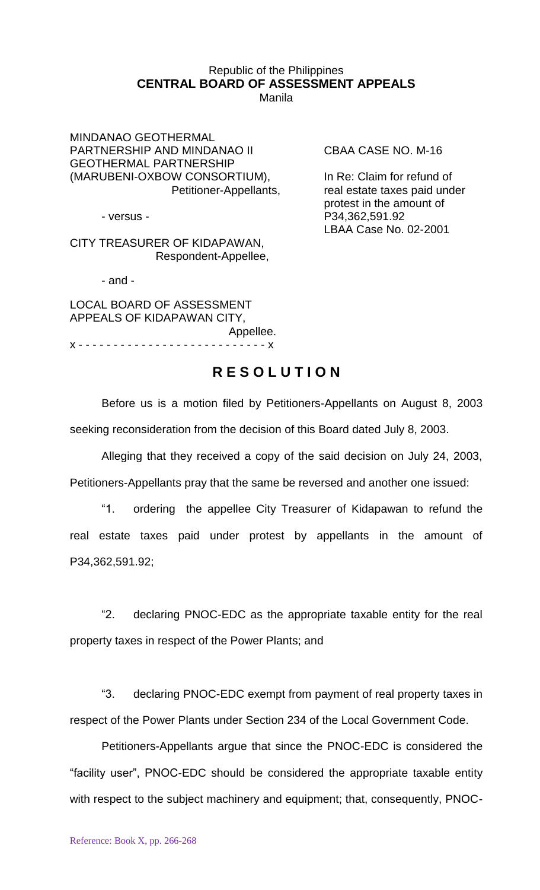## Republic of the Philippines **CENTRAL BOARD OF ASSESSMENT APPEALS** Manila

MINDANAO GEOTHERMAL PARTNERSHIP AND MINDANAO II CBAA CASE NO. M-16 GEOTHERMAL PARTNERSHIP (MARUBENI-OXBOW CONSORTIUM), In Re: Claim for refund of

CITY TREASURER OF KIDAPAWAN, Respondent-Appellee,

- and -

LOCAL BOARD OF ASSESSMENT APPEALS OF KIDAPAWAN CITY, Appellee. x - - - - - - - - - - - - - - - - - - - - - - - - - - - x

Petitioner-Appellants, real estate taxes paid under protest in the amount of - versus - P34,362,591.92 LBAA Case No. 02-2001

## **R E S O L U T I O N**

Before us is a motion filed by Petitioners-Appellants on August 8, 2003 seeking reconsideration from the decision of this Board dated July 8, 2003.

Alleging that they received a copy of the said decision on July 24, 2003, Petitioners-Appellants pray that the same be reversed and another one issued:

"1. ordering the appellee City Treasurer of Kidapawan to refund the real estate taxes paid under protest by appellants in the amount of P34,362,591.92;

"2. declaring PNOC-EDC as the appropriate taxable entity for the real property taxes in respect of the Power Plants; and

"3. declaring PNOC-EDC exempt from payment of real property taxes in respect of the Power Plants under Section 234 of the Local Government Code.

Petitioners-Appellants argue that since the PNOC-EDC is considered the "facility user", PNOC-EDC should be considered the appropriate taxable entity with respect to the subject machinery and equipment; that, consequently, PNOC-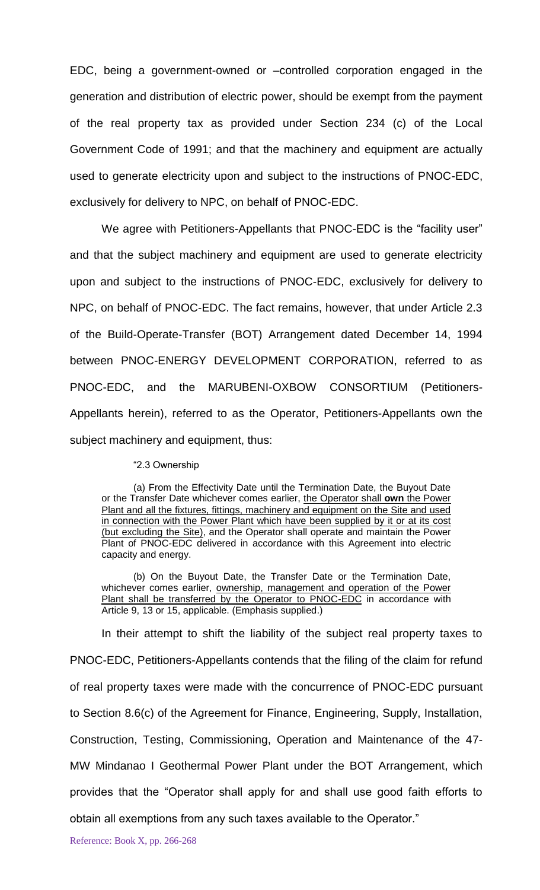EDC, being a government-owned or –controlled corporation engaged in the generation and distribution of electric power, should be exempt from the payment of the real property tax as provided under Section 234 (c) of the Local Government Code of 1991; and that the machinery and equipment are actually used to generate electricity upon and subject to the instructions of PNOC-EDC, exclusively for delivery to NPC, on behalf of PNOC-EDC.

We agree with Petitioners-Appellants that PNOC-EDC is the "facility user" and that the subject machinery and equipment are used to generate electricity upon and subject to the instructions of PNOC-EDC, exclusively for delivery to NPC, on behalf of PNOC-EDC. The fact remains, however, that under Article 2.3 of the Build-Operate-Transfer (BOT) Arrangement dated December 14, 1994 between PNOC-ENERGY DEVELOPMENT CORPORATION, referred to as PNOC-EDC, and the MARUBENI-OXBOW CONSORTIUM (Petitioners-Appellants herein), referred to as the Operator, Petitioners-Appellants own the subject machinery and equipment, thus:

## "2.3 Ownership

(a) From the Effectivity Date until the Termination Date, the Buyout Date or the Transfer Date whichever comes earlier, the Operator shall **own** the Power Plant and all the fixtures, fittings, machinery and equipment on the Site and used in connection with the Power Plant which have been supplied by it or at its cost (but excluding the Site), and the Operator shall operate and maintain the Power Plant of PNOC-EDC delivered in accordance with this Agreement into electric capacity and energy.

(b) On the Buyout Date, the Transfer Date or the Termination Date, whichever comes earlier, ownership, management and operation of the Power Plant shall be transferred by the Operator to PNOC-EDC in accordance with Article 9, 13 or 15, applicable. (Emphasis supplied.)

In their attempt to shift the liability of the subject real property taxes to PNOC-EDC, Petitioners-Appellants contends that the filing of the claim for refund of real property taxes were made with the concurrence of PNOC-EDC pursuant to Section 8.6(c) of the Agreement for Finance, Engineering, Supply, Installation, Construction, Testing, Commissioning, Operation and Maintenance of the 47- MW Mindanao I Geothermal Power Plant under the BOT Arrangement, which provides that the "Operator shall apply for and shall use good faith efforts to obtain all exemptions from any such taxes available to the Operator."